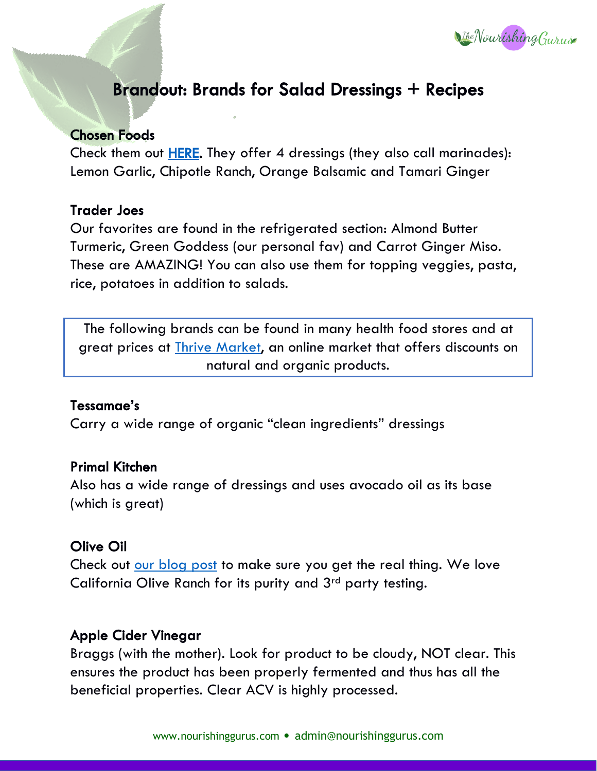

# Brandout: Brands for Salad Dressings + Recipes

## Chosen Foods

Check them out [HERE.](https://amzn.to/2QuKmyV) They offer 4 dressings (they also call marinades): Lemon Garlic, Chipotle Ranch, Orange Balsamic and Tamari Ginger

#### Trader Joes

Our favorites are found in the refrigerated section: Almond Butter Turmeric, Green Goddess (our personal fav) and Carrot Ginger Miso. These are AMAZING! You can also use them for topping veggies, pasta, rice, potatoes in addition to salads.

The following brands can be found in many health food stores and at great prices at *Thrive Market*, an online market that offers discounts on natural and organic products.

#### Tessamae's

Carry a wide range of organic "clean ingredients" dressings

#### Primal Kitchen

Also has a wide range of dressings and uses avocado oil as its base (which is great)

## Olive Oil

Check out [our blog post](http://nourishinggurus.com/extra-virgin-olive-oil-fraud/) to make sure you get the real thing. We love California Olive Ranch for its purity and 3<sup>rd</sup> party testing.

## Apple Cider Vinegar

Braggs (with the mother). Look for product to be cloudy, NOT clear. This ensures the product has been properly fermented and thus has all the beneficial properties. Clear ACV is highly processed.